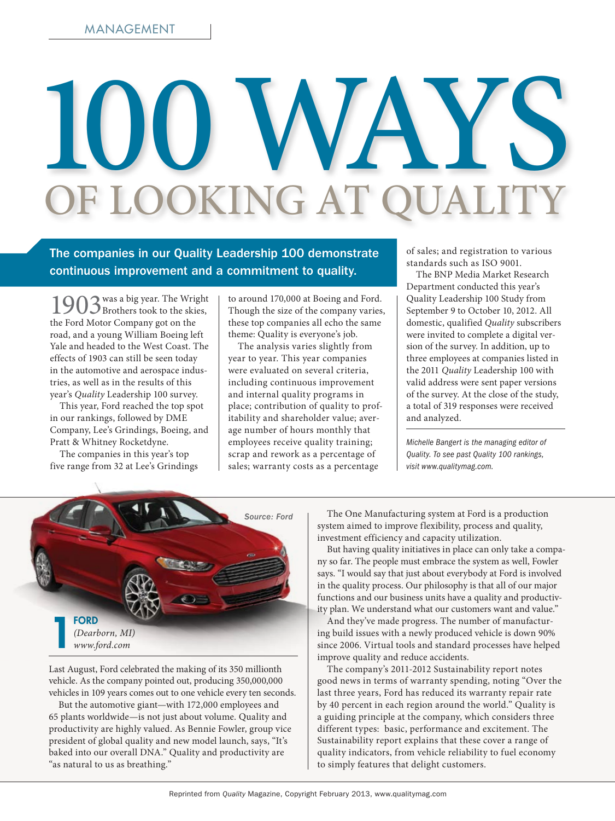# 100 WAYS of Looking at Quality

The companies in our Quality Leadership 100 demonstrate continuous improvement and a commitment to quality.

1903 was a big year. The Wright<br>
Brothers took to the skies, the Ford Motor Company got on the road, and a young William Boeing left Yale and headed to the West Coast. The effects of 1903 can still be seen today in the automotive and aerospace industries, as well as in the results of this year's *Quality* Leadership 100 survey.

This year, Ford reached the top spot in our rankings, followed by DME Company, Lee's Grindings, Boeing, and Pratt & Whitney Rocketdyne.

The companies in this year's top five range from 32 at Lee's Grindings to around 170,000 at Boeing and Ford. Though the size of the company varies, these top companies all echo the same theme: Quality is everyone's job.

The analysis varies slightly from year to year. This year companies were evaluated on several criteria, including continuous improvement and internal quality programs in place; contribution of quality to profitability and shareholder value; average number of hours monthly that employees receive quality training; scrap and rework as a percentage of sales; warranty costs as a percentage

of sales; and registration to various standards such as ISO 9001.

The BNP Media Market Research Department conducted this year's Quality Leadership 100 Study from September 9 to October 10, 2012. All domestic, qualified *Quality* subscribers were invited to complete a digital version of the survey. In addition, up to three employees at companies listed in the 2011 *Quality* Leadership 100 with valid address were sent paper versions of the survey. At the close of the study, a total of 319 responses were received and analyzed.

*Michelle Bangert is the managing editor of Quality. To see past Quality 100 rankings, visit www.qualitymag.com.*



Last August, Ford celebrated the making of its 350 millionth vehicle. As the company pointed out, producing 350,000,000 vehicles in 109 years comes out to one vehicle every ten seconds.

But the automotive giant—with 172,000 employees and 65 plants worldwide—is not just about volume. Quality and productivity are highly valued. As Bennie Fowler, group vice president of global quality and new model launch, says, "It's baked into our overall DNA." Quality and productivity are "as natural to us as breathing."

The One Manufacturing system at Ford is a production system aimed to improve flexibility, process and quality, investment efficiency and capacity utilization.

But having quality initiatives in place can only take a company so far. The people must embrace the system as well, Fowler says. "I would say that just about everybody at Ford is involved in the quality process. Our philosophy is that all of our major functions and our business units have a quality and productivity plan. We understand what our customers want and value."

And they've made progress. The number of manufacturing build issues with a newly produced vehicle is down 90% since 2006. Virtual tools and standard processes have helped improve quality and reduce accidents.

The company's 2011-2012 Sustainability report notes good news in terms of warranty spending, noting "Over the last three years, Ford has reduced its warranty repair rate by 40 percent in each region around the world." Quality is a guiding principle at the company, which considers three different types: basic, performance and excitement. The Sustainability report explains that these cover a range of quality indicators, from vehicle reliability to fuel economy to simply features that delight customers.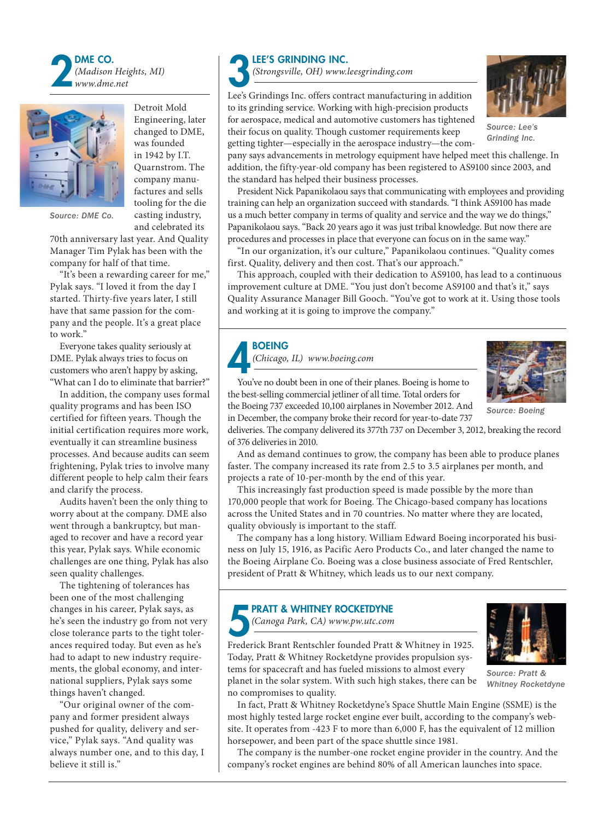



Detroit Mold Engineering, later changed to DME, was founded in 1942 by I.T. Quarnstrom. The company manufactures and sells tooling for the die casting industry, and celebrated its

*Source: DME Co.*

70th anniversary last year. And Quality Manager Tim Pylak has been with the company for half of that time.

"It's been a rewarding career for me," Pylak says. "I loved it from the day I started. Thirty-five years later, I still have that same passion for the company and the people. It's a great place to work."

Everyone takes quality seriously at DME. Pylak always tries to focus on customers who aren't happy by asking, "What can I do to eliminate that barrier?"

In addition, the company uses formal quality programs and has been ISO certified for fifteen years. Though the initial certification requires more work, eventually it can streamline business processes. And because audits can seem frightening, Pylak tries to involve many different people to help calm their fears and clarify the process.

Audits haven't been the only thing to worry about at the company. DME also went through a bankruptcy, but managed to recover and have a record year this year, Pylak says. While economic challenges are one thing, Pylak has also seen quality challenges.

The tightening of tolerances has been one of the most challenging changes in his career, Pylak says, as he's seen the industry go from not very close tolerance parts to the tight tolerances required today. But even as he's had to adapt to new industry requirements, the global economy, and international suppliers, Pylak says some things haven't changed.

"Our original owner of the company and former president always pushed for quality, delivery and service," Pylak says. "And quality was always number one, and to this day, I believe it still is."



LEE'S GRINDING INC.<br>
Strongsville, OH) www.ld<br>
Lee's Grindings Inc. offers cont *(Strongsville, OH) www.leesgrinding.com* 

Lee's Grindings Inc. offers contract manufacturing in addition to its grinding service. Working with high-precision products for aerospace, medical and automotive customers has tightened their focus on quality. Though customer requirements keep



President Nick Papanikolaou says that communicating with employees and providing training can help an organization succeed with standards. "I think AS9100 has made us a much better company in terms of quality and service and the way we do things," Papanikolaou says. "Back 20 years ago it was just tribal knowledge. But now there are procedures and processes in place that everyone can focus on in the same way."

"In our organization, it's our culture," Papanikolaou continues. "Quality comes first. Quality, delivery and then cost. That's our approach."

This approach, coupled with their dedication to AS9100, has lead to a continuous improvement culture at DME. "You just don't become AS9100 and that's it," says Quality Assurance Manager Bill Gooch. "You've got to work at it. Using those tools and working at it is going to improve the company."



*(Chicago, IL) www.boeing.com* 



*Source: Boeing*

You've no doubt been in one of their planes. Boeing is home to the best-selling commercial jetliner of all time. Total orders for the Boeing 737 exceeded 10,100 airplanes in November 2012. And

deliveries. The company delivered its 377th 737 on December 3, 2012, breaking the record of 376 deliveries in 2010.

And as demand continues to grow, the company has been able to produce planes faster. The company increased its rate from 2.5 to 3.5 airplanes per month, and projects a rate of 10-per-month by the end of this year.

This increasingly fast production speed is made possible by the more than 170,000 people that work for Boeing. The Chicago-based company has locations across the United States and in 70 countries. No matter where they are located, quality obviously is important to the staff.

The company has a long history. William Edward Boeing incorporated his business on July 15, 1916, as Pacific Aero Products Co., and later changed the name to the Boeing Airplane Co. Boeing was a close business associate of Fred Rentschler, president of Pratt & Whitney, which leads us to our next company.

# **PRATT & WHITNEY ROCKETDYNE**

*(Canoga Park, CA) www.pw.utc.com* 

Frederick Brant Rentschler founded Pratt & Whitney in 1925. Today, Pratt & Whitney Rocketdyne provides propulsion systems for spacecraft and has fueled missions to almost every planet in the solar system. With such high stakes, there can be no compromises to quality.



*Source: Pratt & Whitney Rocketdyne*

In fact, Pratt & Whitney Rocketdyne's Space Shuttle Main Engine (SSME) is the most highly tested large rocket engine ever built, according to the company's website. It operates from -423 F to more than 6,000 F, has the equivalent of 12 million horsepower, and been part of the space shuttle since 1981.

The company is the number-one rocket engine provider in the country. And the company's rocket engines are behind 80% of all American launches into space.



*Source: Lee's* 

in December, the company broke their record for year-to-date 737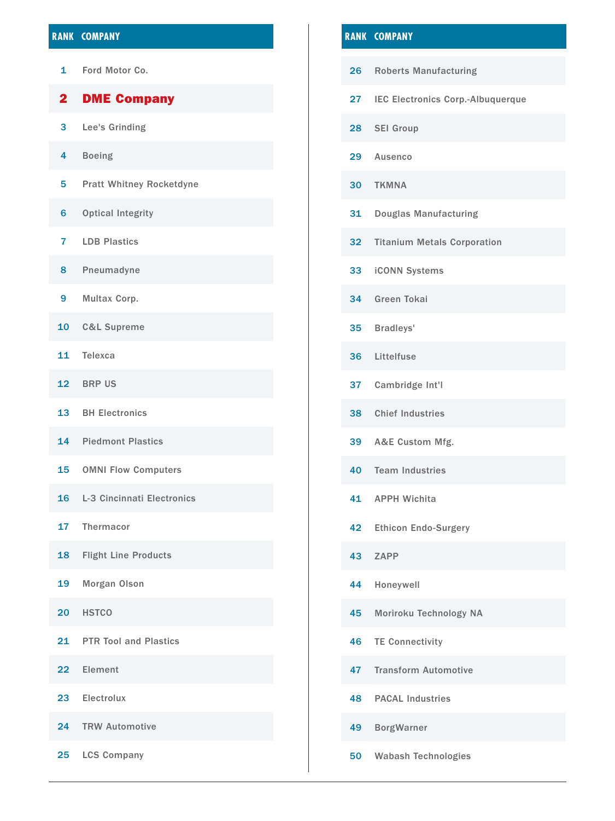# **Rank company Rank company**

Ford Motor Co.

# DME Company

- Lee's Grinding
- Boeing
- Pratt Whitney Rocketdyne
- Optical Integrity
- LDB Plastics
- Pneumadyne
- Multax Corp.
- C&L Supreme
- Telexca
- BRP US
- BH Electronics
- Piedmont Plastics
- OMNI Flow Computers
- L-3 Cincinnati Electronics
- Thermacor
- Flight Line Products
- Morgan Olson
- HSTCO
- 21 PTR Tool and Plastics
- Element
- Electrolux
- TRW Automotive
- LCS Company

- Roberts Manufacturing IEC Electronics Corp.-Albuquerque SEI Group Ausenco TKMNA Douglas Manufacturing Titanium Metals Corporation iCONN Systems Green Tokai Bradleys'
- Littelfuse
- Cambridge Int'l
- Chief Industries
- A&E Custom Mfg.
- Team Industries
- APPH Wichita
- Ethicon Endo-Surgery
- ZAPP
- Honeywell
- Moriroku Technology NA
- TE Connectivity
- Transform Automotive
- PACAL Industries
- BorgWarner
- Wabash Technologies